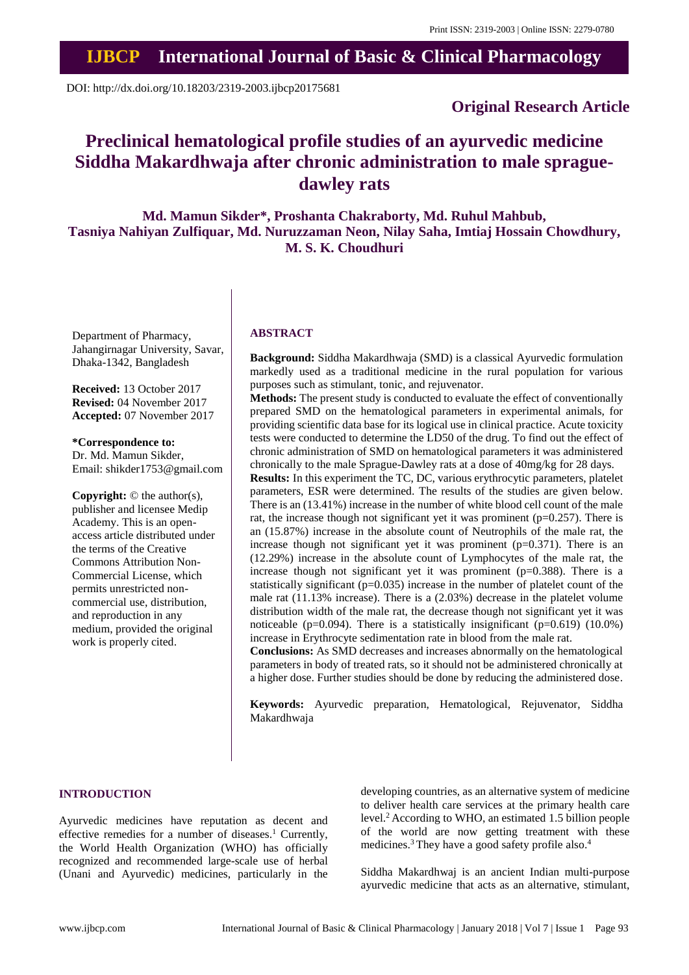## **IJBCP International Journal of Basic & Clinical Pharmacology**

DOI: http://dx.doi.org/10.18203/2319-2003.ijbcp20175681

### **Original Research Article**

# **Preclinical hematological profile studies of an ayurvedic medicine Siddha Makardhwaja after chronic administration to male spraguedawley rats**

**Md. Mamun Sikder\*, Proshanta Chakraborty, Md. Ruhul Mahbub, Tasniya Nahiyan Zulfiquar, Md. Nuruzzaman Neon, Nilay Saha, Imtiaj Hossain Chowdhury, M. S. K. Choudhuri**

Department of Pharmacy, Jahangirnagar University, Savar, Dhaka-1342, Bangladesh

**Received:** 13 October 2017 **Revised:** 04 November 2017 **Accepted:** 07 November 2017

**\*Correspondence to:** Dr. Md. Mamun Sikder, Email: shikder1753@gmail.com

**Copyright:** © the author(s), publisher and licensee Medip Academy. This is an openaccess article distributed under the terms of the Creative Commons Attribution Non-Commercial License, which permits unrestricted noncommercial use, distribution, and reproduction in any medium, provided the original work is properly cited.

#### **ABSTRACT**

**Background:** Siddha Makardhwaja (SMD) is a classical Ayurvedic formulation markedly used as a traditional medicine in the rural population for various purposes such as stimulant, tonic, and rejuvenator.

**Methods:** The present study is conducted to evaluate the effect of conventionally prepared SMD on the hematological parameters in experimental animals, for providing scientific data base for its logical use in clinical practice. Acute toxicity tests were conducted to determine the LD50 of the drug. To find out the effect of chronic administration of SMD on hematological parameters it was administered chronically to the male Sprague-Dawley rats at a dose of 40mg/kg for 28 days.

**Results:** In this experiment the TC, DC, various erythrocytic parameters, platelet parameters, ESR were determined. The results of the studies are given below. There is an (13.41%) increase in the number of white blood cell count of the male rat, the increase though not significant yet it was prominent ( $p=0.257$ ). There is an (15.87%) increase in the absolute count of Neutrophils of the male rat, the increase though not significant yet it was prominent  $(p=0.371)$ . There is an (12.29%) increase in the absolute count of Lymphocytes of the male rat, the increase though not significant yet it was prominent  $(p=0.388)$ . There is a statistically significant ( $p=0.035$ ) increase in the number of platelet count of the male rat (11.13% increase). There is a (2.03%) decrease in the platelet volume distribution width of the male rat, the decrease though not significant yet it was noticeable ( $p=0.094$ ). There is a statistically insignificant ( $p=0.619$ ) (10.0%) increase in Erythrocyte sedimentation rate in blood from the male rat.

**Conclusions:** As SMD decreases and increases abnormally on the hematological parameters in body of treated rats, so it should not be administered chronically at a higher dose. Further studies should be done by reducing the administered dose.

**Keywords:** Ayurvedic preparation, Hematological, Rejuvenator, Siddha Makardhwaja

#### **INTRODUCTION**

Ayurvedic medicines have reputation as decent and effective remedies for a number of diseases.<sup>1</sup> Currently, the World Health Organization (WHO) has officially recognized and recommended large-scale use of herbal (Unani and Ayurvedic) medicines, particularly in the developing countries, as an alternative system of medicine to deliver health care services at the primary health care level.<sup>2</sup> According to WHO, an estimated 1.5 billion people of the world are now getting treatment with these medicines.<sup>3</sup> They have a good safety profile also.<sup>4</sup>

Siddha Makardhwaj is an ancient Indian multi-purpose ayurvedic medicine that acts as an alternative, stimulant,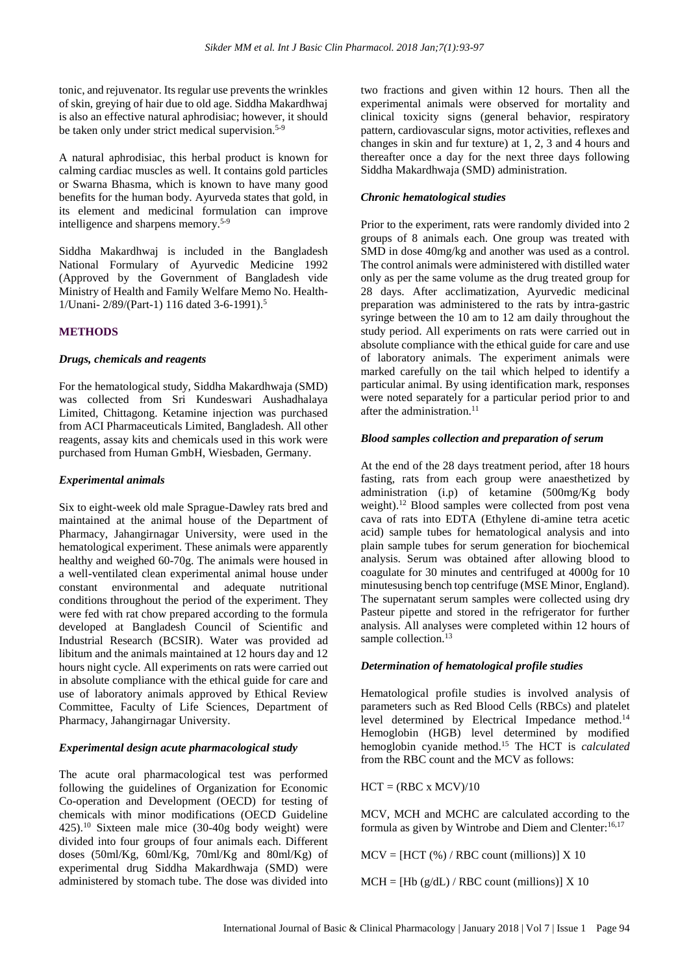tonic, and rejuvenator. Its regular use prevents the wrinkles of skin, greying of hair due to old age. Siddha Makardhwaj is also an effective natural aphrodisiac; however, it should be taken only under strict medical supervision.<sup>5-9</sup>

A natural aphrodisiac, this herbal product is known for calming cardiac muscles as well. It contains gold particles or Swarna Bhasma, which is known to have many good benefits for the human body. Ayurveda states that gold, in its element and medicinal formulation can improve intelligence and sharpens memory.5-9

Siddha Makardhwaj is included in the Bangladesh National Formulary of Ayurvedic Medicine 1992 (Approved by the Government of Bangladesh vide Ministry of Health and Family Welfare Memo No. Health-1/Unani- 2/89/(Part-1) 116 dated 3-6-1991).<sup>5</sup>

#### **METHODS**

#### *Drugs, chemicals and reagents*

For the hematological study, Siddha Makardhwaja (SMD) was collected from Sri Kundeswari Aushadhalaya Limited, Chittagong. Ketamine injection was purchased from ACI Pharmaceuticals Limited, Bangladesh. All other reagents, assay kits and chemicals used in this work were purchased from Human GmbH, Wiesbaden, Germany.

#### *Experimental animals*

Six to eight-week old male Sprague-Dawley rats bred and maintained at the animal house of the Department of Pharmacy, Jahangirnagar University, were used in the hematological experiment. These animals were apparently healthy and weighed 60-70g. The animals were housed in a well-ventilated clean experimental animal house under constant environmental and adequate nutritional conditions throughout the period of the experiment. They were fed with rat chow prepared according to the formula developed at Bangladesh Council of Scientific and Industrial Research (BCSIR). Water was provided ad libitum and the animals maintained at 12 hours day and 12 hours night cycle. All experiments on rats were carried out in absolute compliance with the ethical guide for care and use of laboratory animals approved by Ethical Review Committee, Faculty of Life Sciences, Department of Pharmacy, Jahangirnagar University.

#### *Experimental design acute pharmacological study*

The acute oral pharmacological test was performed following the guidelines of Organization for Economic Co-operation and Development (OECD) for testing of chemicals with minor modifications (OECD Guideline 425).<sup>10</sup> Sixteen male mice (30-40g body weight) were divided into four groups of four animals each. Different doses (50ml/Kg, 60ml/Kg, 70ml/Kg and 80ml/Kg) of experimental drug Siddha Makardhwaja (SMD) were administered by stomach tube. The dose was divided into two fractions and given within 12 hours. Then all the experimental animals were observed for mortality and clinical toxicity signs (general behavior, respiratory pattern, cardiovascular signs, motor activities, reflexes and changes in skin and fur texture) at 1, 2, 3 and 4 hours and thereafter once a day for the next three days following Siddha Makardhwaja (SMD) administration.

#### *Chronic hematological studies*

Prior to the experiment, rats were randomly divided into 2 groups of 8 animals each. One group was treated with SMD in dose 40mg/kg and another was used as a control. The control animals were administered with distilled water only as per the same volume as the drug treated group for 28 days. After acclimatization, Ayurvedic medicinal preparation was administered to the rats by intra-gastric syringe between the 10 am to 12 am daily throughout the study period. All experiments on rats were carried out in absolute compliance with the ethical guide for care and use of laboratory animals. The experiment animals were marked carefully on the tail which helped to identify a particular animal. By using identification mark, responses were noted separately for a particular period prior to and after the administration.<sup>11</sup>

#### *Blood samples collection and preparation of serum*

At the end of the 28 days treatment period, after 18 hours fasting, rats from each group were anaesthetized by administration (i.p) of ketamine (500mg/Kg body weight).<sup>12</sup> Blood samples were collected from post vena cava of rats into EDTA (Ethylene di-amine tetra acetic acid) sample tubes for hematological analysis and into plain sample tubes for serum generation for biochemical analysis. Serum was obtained after allowing blood to coagulate for 30 minutes and centrifuged at 4000g for 10 minutesusing bench top centrifuge (MSE Minor, England). The supernatant serum samples were collected using dry Pasteur pipette and stored in the refrigerator for further analysis. All analyses were completed within 12 hours of sample collection.<sup>13</sup>

#### *Determination of hematological profile studies*

Hematological profile studies is involved analysis of parameters such as Red Blood Cells (RBCs) and platelet level determined by Electrical Impedance method.<sup>14</sup> Hemoglobin (HGB) level determined by modified hemoglobin cyanide method.<sup>15</sup> The HCT is *calculated* from the RBC count and the MCV as follows:

 $HCT = (RBC x MCV)/10$ 

MCV, MCH and MCHC are calculated according to the formula as given by Wintrobe and Diem and Clenter: 16,17

 $MCV = [HCT (%) / RBC count (millions)] X 10$ 

 $MCH = [Hb (g/dL) / RBC count (millions)] X 10$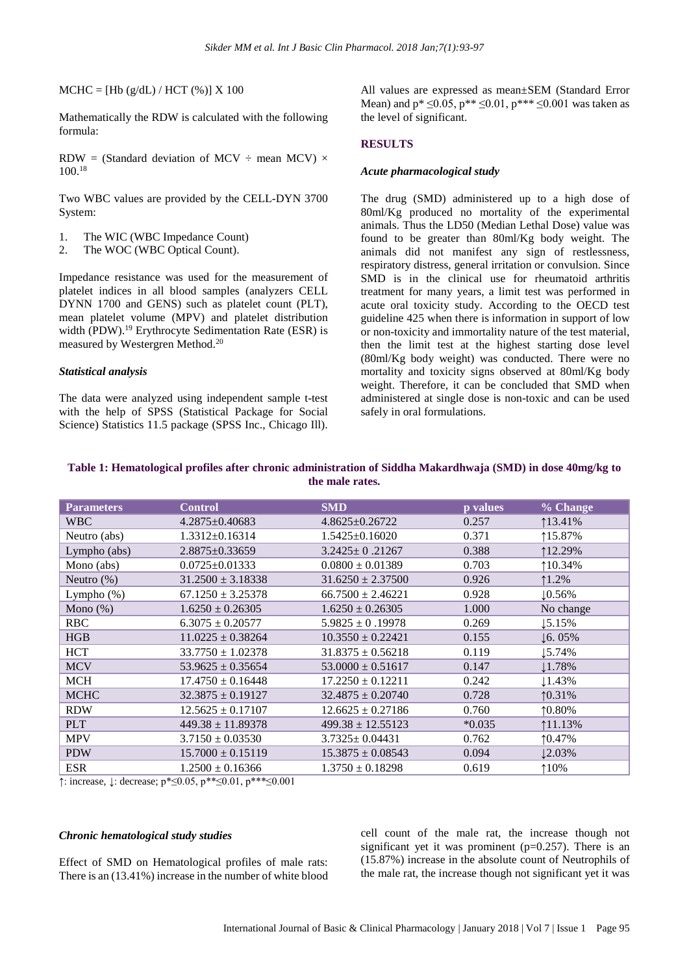$MCHC = [Hb (g/dL) / HCT (%)] X 100$ 

Mathematically the RDW is calculated with the following formula:

RDW = (Standard deviation of MCV  $\div$  mean MCV)  $\times$ 100.<sup>18</sup>

Two WBC values are provided by the CELL-DYN 3700 System:

- 1. The WIC (WBC Impedance Count)
- 2. The WOC (WBC Optical Count).

Impedance resistance was used for the measurement of platelet indices in all blood samples (analyzers CELL DYNN 1700 and GENS) such as platelet count (PLT), mean platelet volume (MPV) and platelet distribution width (PDW).<sup>19</sup> Erythrocyte Sedimentation Rate (ESR) is measured by Westergren Method.<sup>20</sup>

#### *Statistical analysis*

The data were analyzed using independent sample t-test with the help of SPSS (Statistical Package for Social Science) Statistics 11.5 package (SPSS Inc., Chicago Ill).

All values are expressed as mean±SEM (Standard Error Mean) and  $p^* \le 0.05$ ,  $p^{**} \le 0.01$ ,  $p^{***} \le 0.001$  was taken as the level of significant.

#### **RESULTS**

#### *Acute pharmacological study*

The drug (SMD) administered up to a high dose of 80ml/Kg produced no mortality of the experimental animals. Thus the LD50 (Median Lethal Dose) value was found to be greater than 80ml/Kg body weight. The animals did not manifest any sign of restlessness, respiratory distress, general irritation or convulsion. Since SMD is in the clinical use for rheumatoid arthritis treatment for many years, a limit test was performed in acute oral toxicity study. According to the OECD test guideline 425 when there is information in support of low or non-toxicity and immortality nature of the test material, then the limit test at the highest starting dose level (80ml/Kg body weight) was conducted. There were no mortality and toxicity signs observed at 80ml/Kg body weight. Therefore, it can be concluded that SMD when administered at single dose is non-toxic and can be used safely in oral formulations.

| Table 1: Hematological profiles after chronic administration of Siddha Makardhwaja (SMD) in dose 40mg/kg to |
|-------------------------------------------------------------------------------------------------------------|
| the male rates.                                                                                             |

| <b>Parameters</b> | <b>Control</b>        | <b>SMD</b>            | p values | % Change           |
|-------------------|-----------------------|-----------------------|----------|--------------------|
| <b>WBC</b>        | $4.2875 \pm 0.40683$  | $4.8625 \pm 0.26722$  | 0.257    | 113.41%            |
| Neutro (abs)      | $1.3312 \pm 0.16314$  | $1.5425 \pm 0.16020$  | 0.371    | 115.87%            |
| Lympho (abs)      | $2.8875 \pm 0.33659$  | $3.2425 \pm 0.21267$  | 0.388    | 112.29%            |
| Mono (abs)        | $0.0725 \pm 0.01333$  | $0.0800 \pm 0.01389$  | 0.703    | 10.34%             |
| Neutro $(\%)$     | $31.2500 \pm 3.18338$ | $31.6250 \pm 2.37500$ | 0.926    | $1.2\%$            |
| Lympho $(\%)$     | $67.1250 \pm 3.25378$ | $66.7500 \pm 2.46221$ | 0.928    | 10.56%             |
| Mono $(\%)$       | $1.6250 \pm 0.26305$  | $1.6250 \pm 0.26305$  | 1.000    | No change          |
| <b>RBC</b>        | $6.3075 \pm 0.20577$  | $5.9825 \pm 0.19978$  | 0.269    | 15.15%             |
| HGB               | $11.0225 \pm 0.38264$ | $10.3550 \pm 0.22421$ | 0.155    | $\downarrow$ 6.05% |
| <b>HCT</b>        | $33.7750 \pm 1.02378$ | $31.8375 \pm 0.56218$ | 0.119    | 15.74%             |
| <b>MCV</b>        | $53.9625 \pm 0.35654$ | $53.0000 \pm 0.51617$ | 0.147    | 1.78%              |
| <b>MCH</b>        | $17.4750 \pm 0.16448$ | $17.2250 \pm 0.12211$ | 0.242    | 1.43%              |
| <b>MCHC</b>       | $32.3875 \pm 0.19127$ | $32.4875 \pm 0.20740$ | 0.728    | 10.31%             |
| <b>RDW</b>        | $12.5625 \pm 0.17107$ | $12.6625 \pm 0.27186$ | 0.760    | $10.80\%$          |
| <b>PLT</b>        | $449.38 \pm 11.89378$ | $499.38 \pm 12.55123$ | $*0.035$ | 11.13%             |
| <b>MPV</b>        | $3.7150 \pm 0.03530$  | $3.7325 \pm 0.04431$  | 0.762    | 10.47%             |
| <b>PDW</b>        | $15.7000 \pm 0.15119$ | $15.3875 \pm 0.08543$ | 0.094    | 12.03%             |
| <b>ESR</b>        | $1.2500 \pm 0.16366$  | $1.3750 \pm 0.18298$  | 0.619    | 10%                |

↑: increase, ↓: decrease; p\*≤0.05, p\*\*≤0.01, p\*\*\*≤0.001

#### *Chronic hematological study studies*

Effect of SMD on Hematological profiles of male rats: There is an (13.41%) increase in the number of white blood cell count of the male rat, the increase though not significant yet it was prominent  $(p=0.257)$ . There is an (15.87%) increase in the absolute count of Neutrophils of the male rat, the increase though not significant yet it was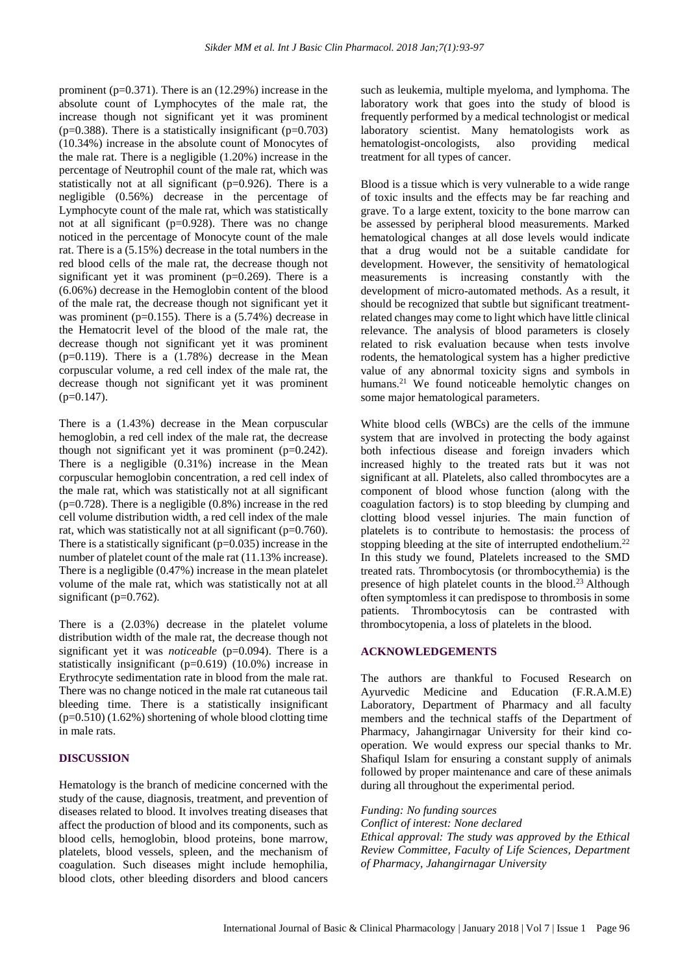prominent ( $p=0.371$ ). There is an (12.29%) increase in the absolute count of Lymphocytes of the male rat, the increase though not significant yet it was prominent ( $p=0.388$ ). There is a statistically insignificant ( $p=0.703$ ) (10.34%) increase in the absolute count of Monocytes of the male rat. There is a negligible (1.20%) increase in the percentage of Neutrophil count of the male rat, which was statistically not at all significant (p=0.926). There is a negligible (0.56%) decrease in the percentage of Lymphocyte count of the male rat, which was statistically not at all significant (p=0.928). There was no change noticed in the percentage of Monocyte count of the male rat. There is a (5.15%) decrease in the total numbers in the red blood cells of the male rat, the decrease though not significant yet it was prominent  $(p=0.269)$ . There is a (6.06%) decrease in the Hemoglobin content of the blood of the male rat, the decrease though not significant yet it was prominent ( $p=0.155$ ). There is a  $(5.74%)$  decrease in the Hematocrit level of the blood of the male rat, the decrease though not significant yet it was prominent  $(p=0.119)$ . There is a  $(1.78%)$  decrease in the Mean corpuscular volume, a red cell index of the male rat, the decrease though not significant yet it was prominent  $(p=0.147)$ .

There is a (1.43%) decrease in the Mean corpuscular hemoglobin, a red cell index of the male rat, the decrease though not significant yet it was prominent  $(p=0.242)$ . There is a negligible (0.31%) increase in the Mean corpuscular hemoglobin concentration, a red cell index of the male rat, which was statistically not at all significant  $(p=0.728)$ . There is a negligible  $(0.8\%)$  increase in the red cell volume distribution width, a red cell index of the male rat, which was statistically not at all significant (p=0.760). There is a statistically significant  $(p=0.035)$  increase in the number of platelet count of the male rat (11.13% increase). There is a negligible (0.47%) increase in the mean platelet volume of the male rat, which was statistically not at all significant ( $p=0.762$ ).

There is a (2.03%) decrease in the platelet volume distribution width of the male rat, the decrease though not significant yet it was *noticeable* (p=0.094). There is a statistically insignificant (p=0.619) (10.0%) increase in Erythrocyte sedimentation rate in blood from the male rat. There was no change noticed in the male rat cutaneous tail bleeding time. There is a statistically insignificant  $(p=0.510)$  (1.62%) shortening of whole blood clotting time in male rats.

#### **DISCUSSION**

Hematology is the branch of medicine concerned with the study of the cause, diagnosis, treatment, and prevention of diseases related to blood. It involves treating diseases that affect the production of blood and its components, such as blood cells, hemoglobin, blood proteins, bone marrow, platelets, blood vessels, spleen, and the mechanism of coagulation. Such diseases might include hemophilia, blood clots, other bleeding disorders and blood cancers such as leukemia, multiple myeloma, and lymphoma. The laboratory work that goes into the study of blood is frequently performed by a medical technologist or medical laboratory scientist. Many hematologists work as hematologist-oncologists, also providing medical treatment for all types of cancer.

Blood is a tissue which is very vulnerable to a wide range of toxic insults and the effects may be far reaching and grave. To a large extent, toxicity to the bone marrow can be assessed by peripheral blood measurements. Marked hematological changes at all dose levels would indicate that a drug would not be a suitable candidate for development. However, the sensitivity of hematological measurements is increasing constantly with the development of micro-automated methods. As a result, it should be recognized that subtle but significant treatmentrelated changes may come to light which have little clinical relevance. The analysis of blood parameters is closely related to risk evaluation because when tests involve rodents, the hematological system has a higher predictive value of any abnormal toxicity signs and symbols in humans.<sup>21</sup> We found noticeable hemolytic changes on some major hematological parameters.

White blood cells (WBCs) are the cells of the immune system that are involved in protecting the body against both infectious disease and foreign invaders which increased highly to the treated rats but it was not significant at all. Platelets, also called thrombocytes are a component of blood whose function (along with the coagulation factors) is to stop bleeding by clumping and clotting blood vessel injuries. The main function of platelets is to contribute to hemostasis: the process of stopping bleeding at the site of interrupted endothelium.<sup>22</sup> In this study we found, Platelets increased to the SMD treated rats. Thrombocytosis (or thrombocythemia) is the presence of high platelet counts in the blood.<sup>23</sup> Although often symptomless it can predispose to thrombosis in some patients. Thrombocytosis can be contrasted with thrombocytopenia, a loss of platelets in the blood.

#### **ACKNOWLEDGEMENTS**

The authors are thankful to Focused Research on Ayurvedic Medicine and Education (F.R.A.M.E) Laboratory, Department of Pharmacy and all faculty members and the technical staffs of the Department of Pharmacy, Jahangirnagar University for their kind cooperation. We would express our special thanks to Mr. Shafiqul Islam for ensuring a constant supply of animals followed by proper maintenance and care of these animals during all throughout the experimental period.

*Funding: No funding sources*

*Conflict of interest: None declared Ethical approval: The study was approved by the Ethical Review Committee, Faculty of Life Sciences, Department of Pharmacy, Jahangirnagar University*